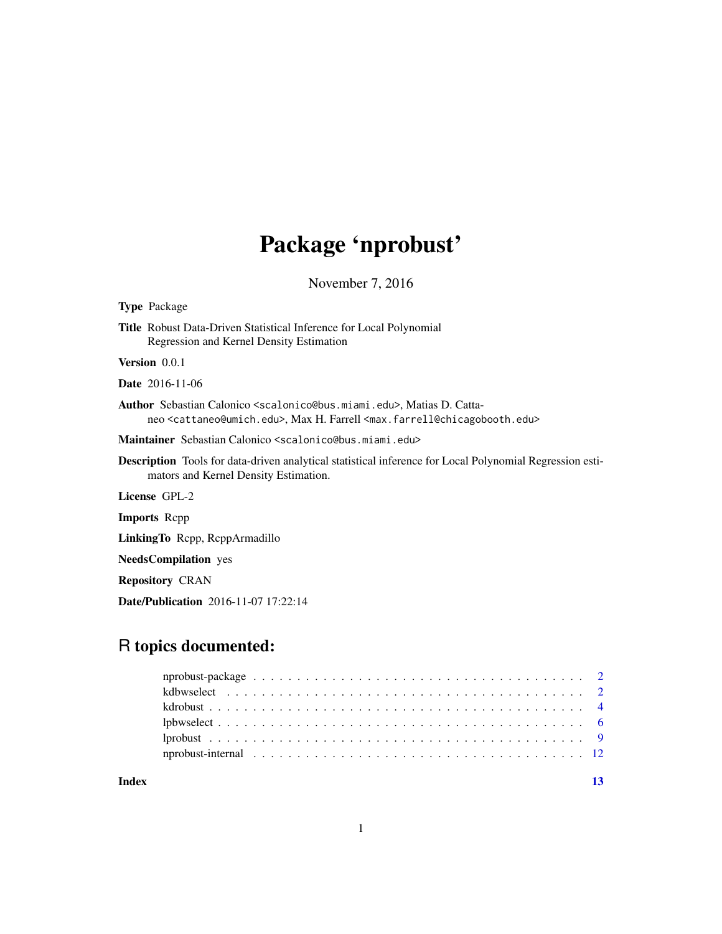# Package 'nprobust'

November 7, 2016

| <b>Type Package</b>                                                                                                                                                                                                                    |
|----------------------------------------------------------------------------------------------------------------------------------------------------------------------------------------------------------------------------------------|
| <b>Title</b> Robust Data-Driven Statistical Inference for Local Polynomial<br>Regression and Kernel Density Estimation                                                                                                                 |
| <b>Version</b> $0.0.1$                                                                                                                                                                                                                 |
| <b>Date</b> 2016-11-06                                                                                                                                                                                                                 |
| <b>Author</b> Sebastian Calonico <scalonico@bus.miami.edu>, Matias D. Catta-<br/>neo <cattaneo@umich.edu>, Max H. Farrell <max.farrell@chicagobooth.edu></max.farrell@chicagobooth.edu></cattaneo@umich.edu></scalonico@bus.miami.edu> |
| Maintainer Sebastian Calonico <scalonico@bus.miami.edu></scalonico@bus.miami.edu>                                                                                                                                                      |
| <b>Description</b> Tools for data-driven analytical statistical inference for Local Polynomial Regression esti-<br>mators and Kernel Density Estimation.                                                                               |
| License GPL-2                                                                                                                                                                                                                          |
| <b>Imports</b> Repp                                                                                                                                                                                                                    |
| LinkingTo Repp, ReppArmadillo                                                                                                                                                                                                          |
| <b>NeedsCompilation</b> yes                                                                                                                                                                                                            |
| <b>Repository CRAN</b>                                                                                                                                                                                                                 |

### Date/Publication 2016-11-07 17:22:14

## R topics documented:

#### **Index** [13](#page-12-0)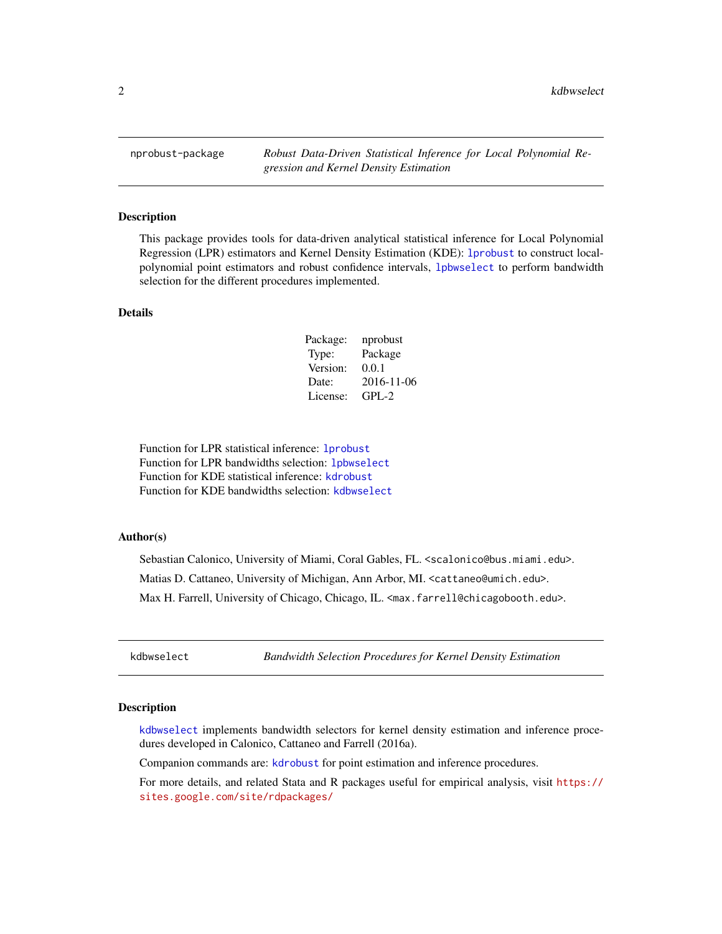<span id="page-1-0"></span>nprobust-package *Robust Data-Driven Statistical Inference for Local Polynomial Regression and Kernel Density Estimation*

#### Description

This package provides tools for data-driven analytical statistical inference for Local Polynomial Regression (LPR) estimators and Kernel Density Estimation (KDE): [lprobust](#page-8-1) to construct localpolynomial point estimators and robust confidence intervals, [lpbwselect](#page-5-1) to perform bandwidth selection for the different procedures implemented.

#### Details

| Package: | nprobust   |
|----------|------------|
| Type:    | Package    |
| Version: | 0.0.1      |
| Date:    | 2016-11-06 |
| License: | $GPI - 2$  |

Function for LPR statistical inference: [lprobust](#page-8-1) Function for LPR bandwidths selection: [lpbwselect](#page-5-1) Function for KDE statistical inference: [kdrobust](#page-3-1) Function for KDE bandwidths selection: [kdbwselect](#page-1-1)

#### Author(s)

Sebastian Calonico, University of Miami, Coral Gables, FL. <scalonico@bus.miami.edu>. Matias D. Cattaneo, University of Michigan, Ann Arbor, MI. <cattaneo@umich.edu>. Max H. Farrell, University of Chicago, Chicago, IL. <max.farrell@chicagobooth.edu>.

<span id="page-1-1"></span>kdbwselect *Bandwidth Selection Procedures for Kernel Density Estimation*

#### **Description**

[kdbwselect](#page-1-1) implements bandwidth selectors for kernel density estimation and inference procedures developed in Calonico, Cattaneo and Farrell (2016a).

Companion commands are: [kdrobust](#page-3-1) for point estimation and inference procedures.

For more details, and related Stata and R packages useful for empirical analysis, visit [https://](https://sites.google.com/site/rdpackages/) [sites.google.com/site/rdpackages/](https://sites.google.com/site/rdpackages/)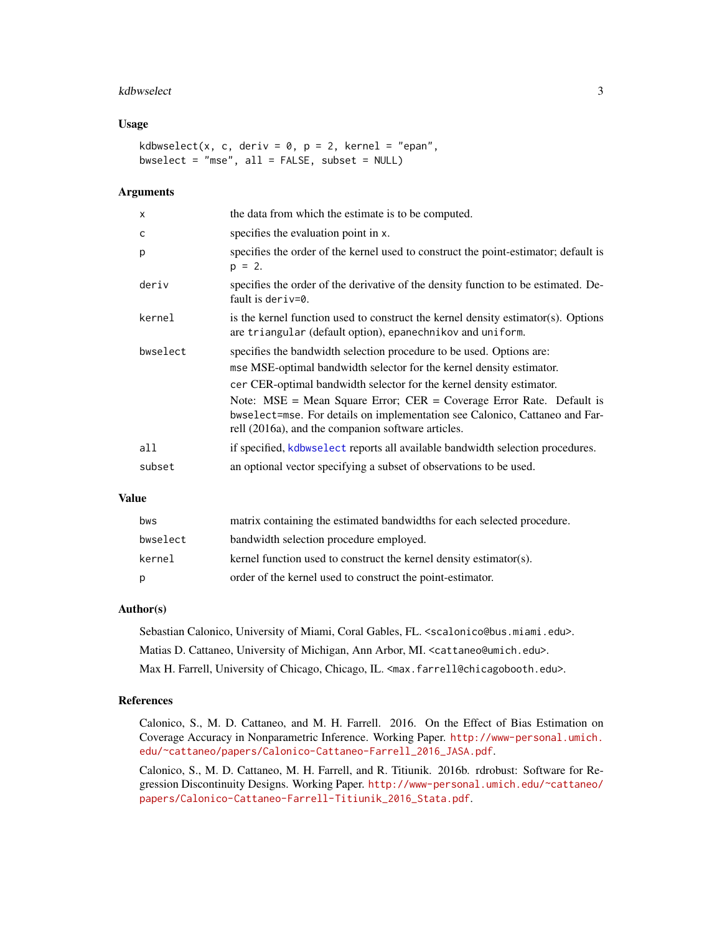#### <span id="page-2-0"></span>kdbwselect 3

#### Usage

```
kdbwselect(x, c, deriv = 0, p = 2, kernel = "epan",
bwselect = "mse", all = FALSE, subset = NULL)
```
#### **Arguments**

| $\boldsymbol{\mathsf{x}}$ | the data from which the estimate is to be computed.                                                                                                                                                                                                                                                                                                                             |
|---------------------------|---------------------------------------------------------------------------------------------------------------------------------------------------------------------------------------------------------------------------------------------------------------------------------------------------------------------------------------------------------------------------------|
| C                         | specifies the evaluation point in x.                                                                                                                                                                                                                                                                                                                                            |
| p                         | specifies the order of the kernel used to construct the point-estimator; default is<br>$p = 2$ .                                                                                                                                                                                                                                                                                |
| deriv                     | specifies the order of the derivative of the density function to be estimated. De-<br>fault is deriv=0.                                                                                                                                                                                                                                                                         |
| kernel                    | is the kernel function used to construct the kernel density estimator(s). Options<br>are triangular (default option), epanechnikov and uniform.                                                                                                                                                                                                                                 |
| bwselect                  | specifies the bandwidth selection procedure to be used. Options are:<br>mse MSE-optimal bandwidth selector for the kernel density estimator.<br>cer CER-optimal bandwidth selector for the kernel density estimator.<br>Note: $MSE$ = Mean Square Error; $CER$ = Coverage Error Rate. Default is<br>bwselect=mse. For details on implementation see Calonico, Cattaneo and Far- |
|                           | rell (2016a), and the companion software articles.                                                                                                                                                                                                                                                                                                                              |
| all                       | if specified, kdbwselect reports all available bandwidth selection procedures.                                                                                                                                                                                                                                                                                                  |
| subset                    | an optional vector specifying a subset of observations to be used.                                                                                                                                                                                                                                                                                                              |

#### Value

| bws      | matrix containing the estimated bandwidths for each selected procedure. |
|----------|-------------------------------------------------------------------------|
| bwselect | bandwidth selection procedure employed.                                 |
| kernel   | kernel function used to construct the kernel density estimator(s).      |
| p        | order of the kernel used to construct the point-estimator.              |

#### Author(s)

Sebastian Calonico, University of Miami, Coral Gables, FL. <scalonico@bus.miami.edu>. Matias D. Cattaneo, University of Michigan, Ann Arbor, MI. <cattaneo@umich.edu>. Max H. Farrell, University of Chicago, Chicago, IL. <max.farrell@chicagobooth.edu>.

#### References

Calonico, S., M. D. Cattaneo, and M. H. Farrell. 2016. On the Effect of Bias Estimation on Coverage Accuracy in Nonparametric Inference. Working Paper. [http://www-personal.umich.](http://www-personal.umich.edu/~cattaneo/papers/Calonico-Cattaneo-Farrell_2016_JASA.pdf) [edu/~cattaneo/papers/Calonico-Cattaneo-Farrell\\_2016\\_JASA.pdf](http://www-personal.umich.edu/~cattaneo/papers/Calonico-Cattaneo-Farrell_2016_JASA.pdf).

Calonico, S., M. D. Cattaneo, M. H. Farrell, and R. Titiunik. 2016b. rdrobust: Software for Regression Discontinuity Designs. Working Paper. [http://www-personal.umich.edu/~cattaneo/](http://www-personal.umich.edu/~cattaneo/papers/Calonico-Cattaneo-Farrell-Titiunik_2016_Stata.pdf) [papers/Calonico-Cattaneo-Farrell-Titiunik\\_2016\\_Stata.pdf](http://www-personal.umich.edu/~cattaneo/papers/Calonico-Cattaneo-Farrell-Titiunik_2016_Stata.pdf).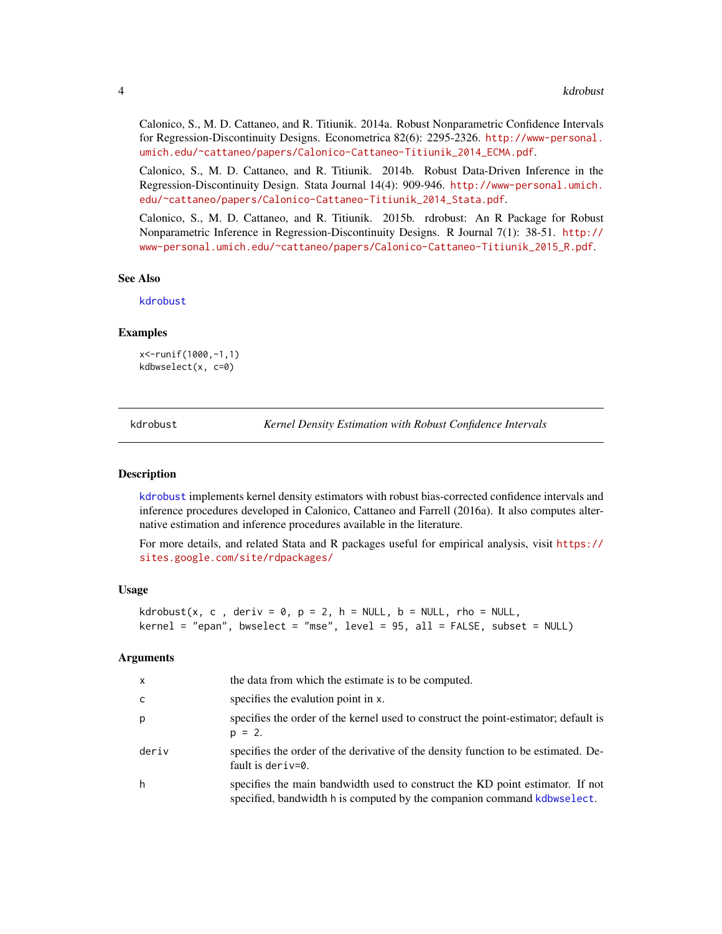<span id="page-3-0"></span>Calonico, S., M. D. Cattaneo, and R. Titiunik. 2014a. Robust Nonparametric Confidence Intervals for Regression-Discontinuity Designs. Econometrica 82(6): 2295-2326. [http://www-personal.](http://www-personal.umich.edu/~cattaneo/papers/Calonico-Cattaneo-Titiunik_2014_ECMA.pdf) [umich.edu/~cattaneo/papers/Calonico-Cattaneo-Titiunik\\_2014\\_ECMA.pdf](http://www-personal.umich.edu/~cattaneo/papers/Calonico-Cattaneo-Titiunik_2014_ECMA.pdf).

Calonico, S., M. D. Cattaneo, and R. Titiunik. 2014b. Robust Data-Driven Inference in the Regression-Discontinuity Design. Stata Journal 14(4): 909-946. [http://www-personal.umich.](http://www-personal.umich.edu/~cattaneo/papers/Calonico-Cattaneo-Titiunik_2014_Stata.pdf) [edu/~cattaneo/papers/Calonico-Cattaneo-Titiunik\\_2014\\_Stata.pdf](http://www-personal.umich.edu/~cattaneo/papers/Calonico-Cattaneo-Titiunik_2014_Stata.pdf).

Calonico, S., M. D. Cattaneo, and R. Titiunik. 2015b. rdrobust: An R Package for Robust Nonparametric Inference in Regression-Discontinuity Designs. R Journal 7(1): 38-51. [http://](http://www-personal.umich.edu/~cattaneo/papers/Calonico-Cattaneo-Titiunik_2015_R.pdf) [www-personal.umich.edu/~cattaneo/papers/Calonico-Cattaneo-Titiunik\\_2015\\_R.pdf](http://www-personal.umich.edu/~cattaneo/papers/Calonico-Cattaneo-Titiunik_2015_R.pdf).

#### See Also

[kdrobust](#page-3-1)

#### Examples

```
x<-runif(1000,-1,1)
kdbwselect(x, c=0)
```
<span id="page-3-1"></span>kdrobust *Kernel Density Estimation with Robust Confidence Intervals*

#### **Description**

[kdrobust](#page-3-1) implements kernel density estimators with robust bias-corrected confidence intervals and inference procedures developed in Calonico, Cattaneo and Farrell (2016a). It also computes alternative estimation and inference procedures available in the literature.

For more details, and related Stata and R packages useful for empirical analysis, visit [https://](https://sites.google.com/site/rdpackages/) [sites.google.com/site/rdpackages/](https://sites.google.com/site/rdpackages/)

#### Usage

```
kdrobust(x, c, deriv = 0, p = 2, h = NULL, b = NULL, rho = NULL,
kernel = "epan", bwselect = "mse", level = 95, all = FALSE, subset = NULL)
```
#### Arguments

| x     | the data from which the estimate is to be computed.                                                                                                      |
|-------|----------------------------------------------------------------------------------------------------------------------------------------------------------|
| c.    | specifies the evalution point in x.                                                                                                                      |
| D.    | specifies the order of the kernel used to construct the point-estimator; default is<br>$p = 2$ .                                                         |
| deriv | specifies the order of the derivative of the density function to be estimated. De-<br>fault is deriv= $0$ .                                              |
| h     | specifies the main bandwidth used to construct the KD point estimator. If not<br>specified, bandwidth h is computed by the companion command kdbwselect. |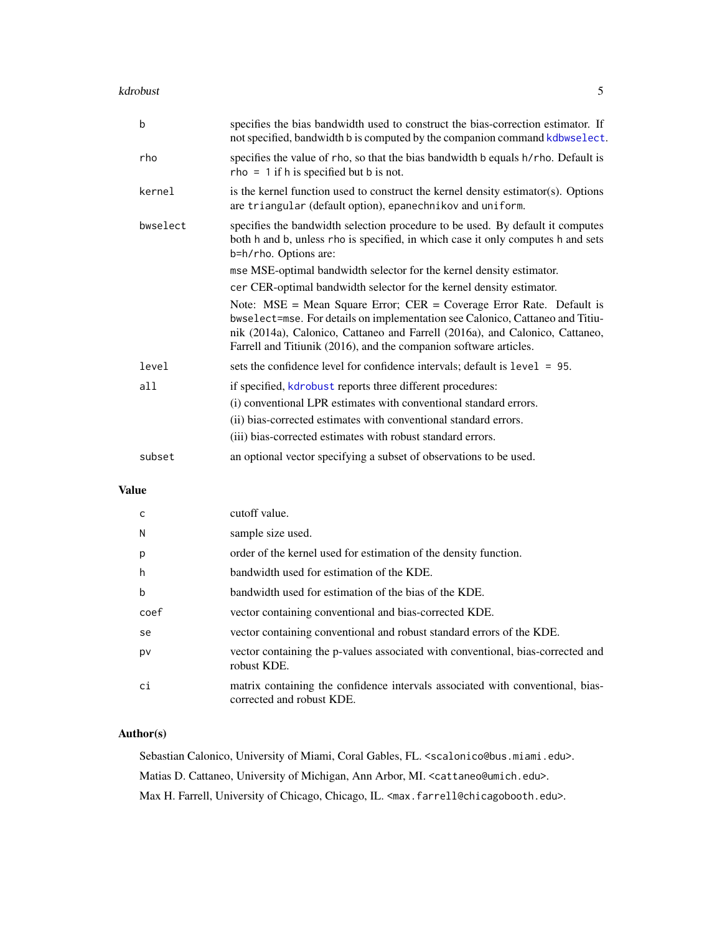#### <span id="page-4-0"></span>kdrobust 5 to 1999 and 2009 and 2009 and 2009 and 2009 and 2009 and 2009 and 2009 and 2009 and 2009 and 2009 and 2009 and 2009 and 2009 and 2009 and 2009 and 2009 and 2009 and 2009 and 2009 and 2009 and 2009 and 2009 and 2

| b        | specifies the bias bandwidth used to construct the bias-correction estimator. If<br>not specified, bandwidth b is computed by the companion command kdbwselect.                                                                                                                                                |
|----------|----------------------------------------------------------------------------------------------------------------------------------------------------------------------------------------------------------------------------------------------------------------------------------------------------------------|
| rho      | specifies the value of rho, so that the bias bandwidth b equals h/rho. Default is<br>$rho = 1$ if h is specified but b is not.                                                                                                                                                                                 |
| kernel   | is the kernel function used to construct the kernel density estimator(s). Options<br>are triangular (default option), epanechnikov and uniform.                                                                                                                                                                |
| bwselect | specifies the bandwidth selection procedure to be used. By default it computes<br>both h and b, unless rho is specified, in which case it only computes h and sets<br>b=h/rho. Options are:                                                                                                                    |
|          | mse MSE-optimal bandwidth selector for the kernel density estimator.                                                                                                                                                                                                                                           |
|          | cer CER-optimal bandwidth selector for the kernel density estimator.                                                                                                                                                                                                                                           |
|          | Note: $MSE$ = Mean Square Error; $CER$ = Coverage Error Rate. Default is<br>bwselect=mse. For details on implementation see Calonico, Cattaneo and Titiu-<br>nik (2014a), Calonico, Cattaneo and Farrell (2016a), and Calonico, Cattaneo,<br>Farrell and Titiunik (2016), and the companion software articles. |
| level    | sets the confidence level for confidence intervals; default is level = 95.                                                                                                                                                                                                                                     |
| a11      | if specified, kdrobust reports three different procedures:                                                                                                                                                                                                                                                     |
|          | (i) conventional LPR estimates with conventional standard errors.                                                                                                                                                                                                                                              |
|          | (ii) bias-corrected estimates with conventional standard errors.                                                                                                                                                                                                                                               |
|          | (iii) bias-corrected estimates with robust standard errors.                                                                                                                                                                                                                                                    |
| subset   | an optional vector specifying a subset of observations to be used.                                                                                                                                                                                                                                             |

#### Value

| C    | cutoff value.                                                                                               |
|------|-------------------------------------------------------------------------------------------------------------|
| N    | sample size used.                                                                                           |
| p    | order of the kernel used for estimation of the density function.                                            |
| h    | bandwidth used for estimation of the KDE.                                                                   |
| b    | bandwidth used for estimation of the bias of the KDE.                                                       |
| coef | vector containing conventional and bias-corrected KDE.                                                      |
| se   | vector containing conventional and robust standard errors of the KDE.                                       |
| pv   | vector containing the p-values associated with conventional, bias-corrected and<br>robust KDE.              |
| сi   | matrix containing the confidence intervals associated with conventional, bias-<br>corrected and robust KDE. |

#### Author(s)

Sebastian Calonico, University of Miami, Coral Gables, FL. <scalonico@bus.miami.edu>. Matias D. Cattaneo, University of Michigan, Ann Arbor, MI. <cattaneo@umich.edu>. Max H. Farrell, University of Chicago, Chicago, IL. <max.farrell@chicagobooth.edu>.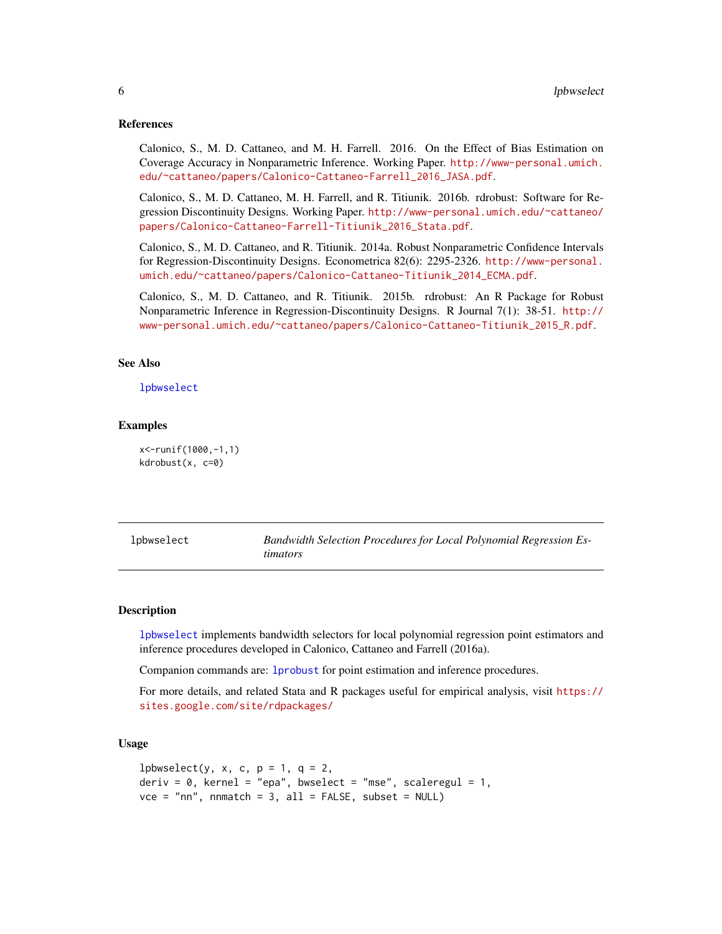#### <span id="page-5-0"></span>References

Calonico, S., M. D. Cattaneo, and M. H. Farrell. 2016. On the Effect of Bias Estimation on Coverage Accuracy in Nonparametric Inference. Working Paper. [http://www-personal.umich.](http://www-personal.umich.edu/~cattaneo/papers/Calonico-Cattaneo-Farrell_2016_JASA.pdf) [edu/~cattaneo/papers/Calonico-Cattaneo-Farrell\\_2016\\_JASA.pdf](http://www-personal.umich.edu/~cattaneo/papers/Calonico-Cattaneo-Farrell_2016_JASA.pdf).

Calonico, S., M. D. Cattaneo, M. H. Farrell, and R. Titiunik. 2016b. rdrobust: Software for Regression Discontinuity Designs. Working Paper. [http://www-personal.umich.edu/~cattaneo/](http://www-personal.umich.edu/~cattaneo/papers/Calonico-Cattaneo-Farrell-Titiunik_2016_Stata.pdf) [papers/Calonico-Cattaneo-Farrell-Titiunik\\_2016\\_Stata.pdf](http://www-personal.umich.edu/~cattaneo/papers/Calonico-Cattaneo-Farrell-Titiunik_2016_Stata.pdf).

Calonico, S., M. D. Cattaneo, and R. Titiunik. 2014a. Robust Nonparametric Confidence Intervals for Regression-Discontinuity Designs. Econometrica 82(6): 2295-2326. [http://www-personal.](http://www-personal.umich.edu/~cattaneo/papers/Calonico-Cattaneo-Titiunik_2014_ECMA.pdf) [umich.edu/~cattaneo/papers/Calonico-Cattaneo-Titiunik\\_2014\\_ECMA.pdf](http://www-personal.umich.edu/~cattaneo/papers/Calonico-Cattaneo-Titiunik_2014_ECMA.pdf).

Calonico, S., M. D. Cattaneo, and R. Titiunik. 2015b. rdrobust: An R Package for Robust Nonparametric Inference in Regression-Discontinuity Designs. R Journal 7(1): 38-51. [http://](http://www-personal.umich.edu/~cattaneo/papers/Calonico-Cattaneo-Titiunik_2015_R.pdf) [www-personal.umich.edu/~cattaneo/papers/Calonico-Cattaneo-Titiunik\\_2015\\_R.pdf](http://www-personal.umich.edu/~cattaneo/papers/Calonico-Cattaneo-Titiunik_2015_R.pdf).

#### See Also

[lpbwselect](#page-5-1)

#### Examples

x<-runif(1000,-1,1) kdrobust(x, c=0)

<span id="page-5-1"></span>

|  | lpbwselect |  |  |
|--|------------|--|--|
|  |            |  |  |

Bandwidth Selection Procedures for Local Polynomial Regression Es*timators*

#### Description

[lpbwselect](#page-5-1) implements bandwidth selectors for local polynomial regression point estimators and inference procedures developed in Calonico, Cattaneo and Farrell (2016a).

Companion commands are: [lprobust](#page-8-1) for point estimation and inference procedures.

For more details, and related Stata and R packages useful for empirical analysis, visit [https://](https://sites.google.com/site/rdpackages/) [sites.google.com/site/rdpackages/](https://sites.google.com/site/rdpackages/)

#### Usage

```
lpbwselect(y, x, c, p = 1, q = 2,
deriv = 0, kernel = "epa", bwselect = "mse", scaleregul = 1,
vce = "nn", nnmatch = 3, all = FALSE, subset = NULL)
```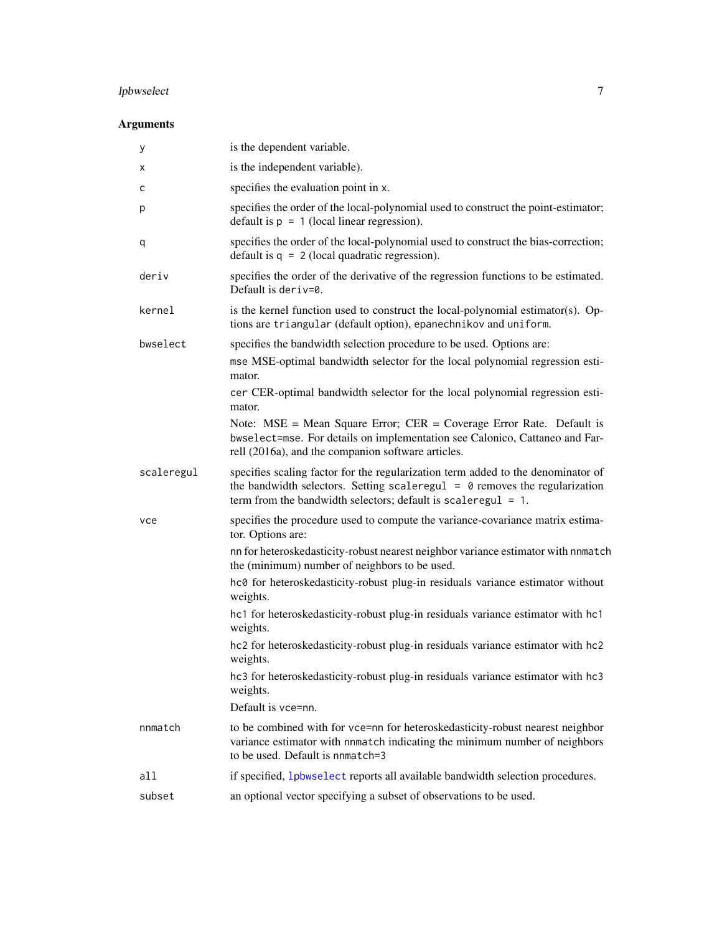### <span id="page-6-0"></span>lpbwselect 7

#### Arguments

| у          | is the dependent variable.                                                                                                                                                                                                                |
|------------|-------------------------------------------------------------------------------------------------------------------------------------------------------------------------------------------------------------------------------------------|
| х          | is the independent variable).                                                                                                                                                                                                             |
| с          | specifies the evaluation point in x.                                                                                                                                                                                                      |
| p          | specifies the order of the local-polynomial used to construct the point-estimator;<br>default is $p = 1$ (local linear regression).                                                                                                       |
| q          | specifies the order of the local-polynomial used to construct the bias-correction;<br>default is $q = 2$ (local quadratic regression).                                                                                                    |
| deriv      | specifies the order of the derivative of the regression functions to be estimated.<br>Default is deriv= $0$ .                                                                                                                             |
| kernel     | is the kernel function used to construct the local-polynomial estimator(s). Op-<br>tions are triangular (default option), epanechnikov and uniform.                                                                                       |
| bwselect   | specifies the bandwidth selection procedure to be used. Options are:                                                                                                                                                                      |
|            | mse MSE-optimal bandwidth selector for the local polynomial regression esti-<br>mator.                                                                                                                                                    |
|            | cer CER-optimal bandwidth selector for the local polynomial regression esti-<br>mator.                                                                                                                                                    |
|            | Note: $MSE = Mean Square Error$ ; $CER = Coverage Error Rate$ . Default is<br>bwselect=mse. For details on implementation see Calonico, Cattaneo and Far-<br>rell (2016a), and the companion software articles.                           |
| scaleregul | specifies scaling factor for the regularization term added to the denominator of<br>the bandwidth selectors. Setting scaleregul = $\theta$ removes the regularization<br>term from the bandwidth selectors; default is scaleregul = $1$ . |
| vce        | specifies the procedure used to compute the variance-covariance matrix estima-<br>tor. Options are:                                                                                                                                       |
|            | nn for heteroskedasticity-robust nearest neighbor variance estimator with nnmatch<br>the (minimum) number of neighbors to be used.                                                                                                        |
|            | hc0 for heteroskedasticity-robust plug-in residuals variance estimator without<br>weights.                                                                                                                                                |
|            | hc1 for heteroskedasticity-robust plug-in residuals variance estimator with hc1<br>weights.                                                                                                                                               |
|            | hc2 for heteroskedasticity-robust plug-in residuals variance estimator with hc2<br>weights.                                                                                                                                               |
|            | hc3 for heteroskedasticity-robust plug-in residuals variance estimator with hc3<br>weights.                                                                                                                                               |
|            | Default is vce=nn.                                                                                                                                                                                                                        |
| nnmatch    | to be combined with for vce=nn for heteroskedasticity-robust nearest neighbor<br>variance estimator with nnmatch indicating the minimum number of neighbors<br>to be used. Default is nnmatch=3                                           |
| all        | if specified, 1pbwse1ect reports all available bandwidth selection procedures.                                                                                                                                                            |
| subset     | an optional vector specifying a subset of observations to be used.                                                                                                                                                                        |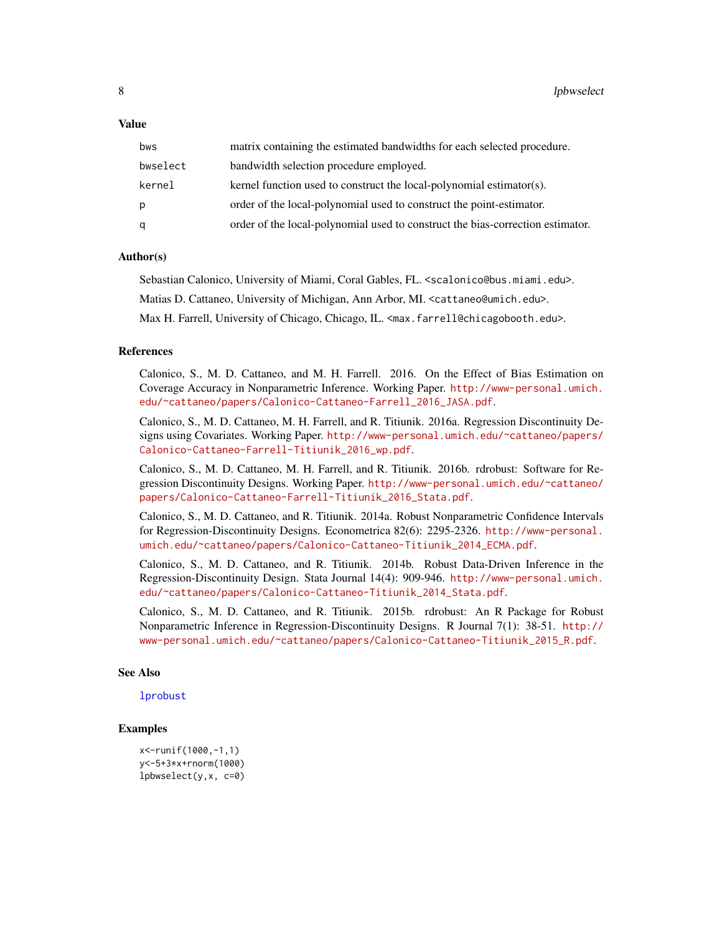#### <span id="page-7-0"></span>Value

| bws      | matrix containing the estimated bandwidths for each selected procedure.        |
|----------|--------------------------------------------------------------------------------|
| bwselect | bandwidth selection procedure employed.                                        |
| kernel   | kernel function used to construct the local-polynomial estimator(s).           |
| p        | order of the local-polynomial used to construct the point-estimator.           |
| q        | order of the local-polynomial used to construct the bias-correction estimator. |

#### Author(s)

Sebastian Calonico, University of Miami, Coral Gables, FL. <scalonico@bus.miami.edu>.

Matias D. Cattaneo, University of Michigan, Ann Arbor, MI. <cattaneo@umich.edu>.

Max H. Farrell, University of Chicago, Chicago, IL. <max.farrell@chicagobooth.edu>.

#### References

Calonico, S., M. D. Cattaneo, and M. H. Farrell. 2016. On the Effect of Bias Estimation on Coverage Accuracy in Nonparametric Inference. Working Paper. [http://www-personal.umich.](http://www-personal.umich.edu/~cattaneo/papers/Calonico-Cattaneo-Farrell_2016_JASA.pdf) [edu/~cattaneo/papers/Calonico-Cattaneo-Farrell\\_2016\\_JASA.pdf](http://www-personal.umich.edu/~cattaneo/papers/Calonico-Cattaneo-Farrell_2016_JASA.pdf).

Calonico, S., M. D. Cattaneo, M. H. Farrell, and R. Titiunik. 2016a. Regression Discontinuity Designs using Covariates. Working Paper. [http://www-personal.umich.edu/~cattaneo/papers/](http://www-personal.umich.edu/~cattaneo/papers/Calonico-Cattaneo-Farrell-Titiunik_2016_wp.pdf) [Calonico-Cattaneo-Farrell-Titiunik\\_2016\\_wp.pdf](http://www-personal.umich.edu/~cattaneo/papers/Calonico-Cattaneo-Farrell-Titiunik_2016_wp.pdf).

Calonico, S., M. D. Cattaneo, M. H. Farrell, and R. Titiunik. 2016b. rdrobust: Software for Regression Discontinuity Designs. Working Paper. [http://www-personal.umich.edu/~cattaneo/](http://www-personal.umich.edu/~cattaneo/papers/Calonico-Cattaneo-Farrell-Titiunik_2016_Stata.pdf) [papers/Calonico-Cattaneo-Farrell-Titiunik\\_2016\\_Stata.pdf](http://www-personal.umich.edu/~cattaneo/papers/Calonico-Cattaneo-Farrell-Titiunik_2016_Stata.pdf).

Calonico, S., M. D. Cattaneo, and R. Titiunik. 2014a. Robust Nonparametric Confidence Intervals for Regression-Discontinuity Designs. Econometrica 82(6): 2295-2326. [http://www-personal.](http://www-personal.umich.edu/~cattaneo/papers/Calonico-Cattaneo-Titiunik_2014_ECMA.pdf) [umich.edu/~cattaneo/papers/Calonico-Cattaneo-Titiunik\\_2014\\_ECMA.pdf](http://www-personal.umich.edu/~cattaneo/papers/Calonico-Cattaneo-Titiunik_2014_ECMA.pdf).

Calonico, S., M. D. Cattaneo, and R. Titiunik. 2014b. Robust Data-Driven Inference in the Regression-Discontinuity Design. Stata Journal 14(4): 909-946. [http://www-personal.umich.](http://www-personal.umich.edu/~cattaneo/papers/Calonico-Cattaneo-Titiunik_2014_Stata.pdf) [edu/~cattaneo/papers/Calonico-Cattaneo-Titiunik\\_2014\\_Stata.pdf](http://www-personal.umich.edu/~cattaneo/papers/Calonico-Cattaneo-Titiunik_2014_Stata.pdf).

Calonico, S., M. D. Cattaneo, and R. Titiunik. 2015b. rdrobust: An R Package for Robust Nonparametric Inference in Regression-Discontinuity Designs. R Journal 7(1): 38-51. [http://](http://www-personal.umich.edu/~cattaneo/papers/Calonico-Cattaneo-Titiunik_2015_R.pdf) [www-personal.umich.edu/~cattaneo/papers/Calonico-Cattaneo-Titiunik\\_2015\\_R.pdf](http://www-personal.umich.edu/~cattaneo/papers/Calonico-Cattaneo-Titiunik_2015_R.pdf).

#### See Also

[lprobust](#page-8-1)

#### Examples

```
x<-runif(1000,-1,1)
y<-5+3*x+rnorm(1000)
lpbwselect(y,x, c=0)
```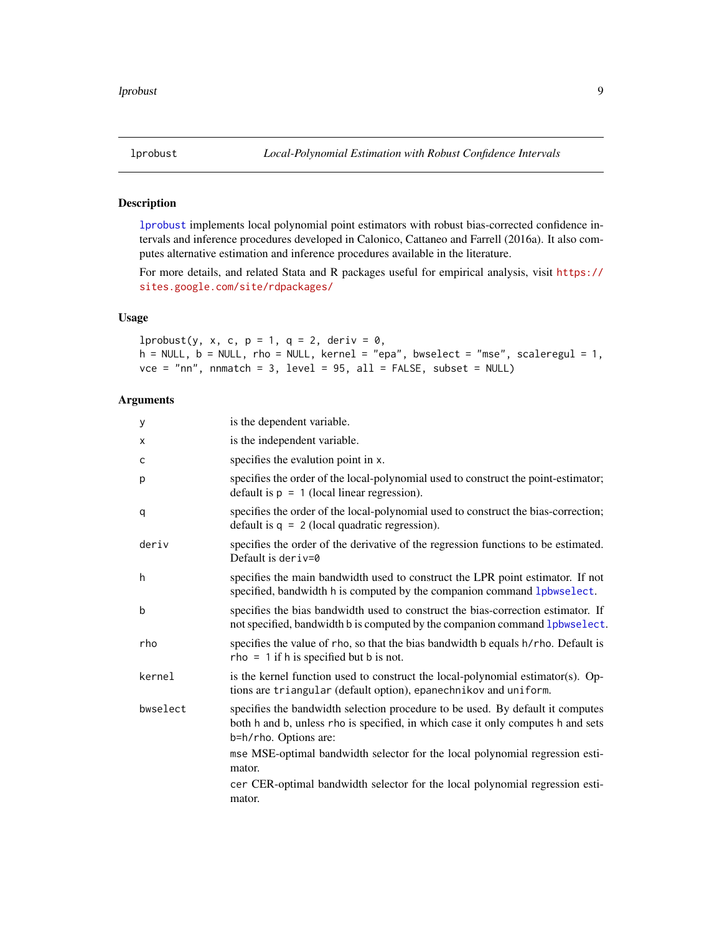<span id="page-8-1"></span><span id="page-8-0"></span>

#### Description

[lprobust](#page-8-1) implements local polynomial point estimators with robust bias-corrected confidence intervals and inference procedures developed in Calonico, Cattaneo and Farrell (2016a). It also computes alternative estimation and inference procedures available in the literature.

For more details, and related Stata and R packages useful for empirical analysis, visit [https://](https://sites.google.com/site/rdpackages/) [sites.google.com/site/rdpackages/](https://sites.google.com/site/rdpackages/)

#### Usage

lprobust(y, x, c, p = 1, q = 2, deriv =  $0$ ,  $h = NULL$ ,  $b = NULL$ ,  $rho = NULL$ ,  $kernel = "epa", bucket = "mse", scaleregul = 1$ ,  $vce = "nn",$  nnmatch = 3, level = 95, all = FALSE, subset = NULL)

#### Arguments

| У        | is the dependent variable.                                                                                                                                                                  |
|----------|---------------------------------------------------------------------------------------------------------------------------------------------------------------------------------------------|
| Χ        | is the independent variable.                                                                                                                                                                |
| C        | specifies the evalution point in x.                                                                                                                                                         |
| р        | specifies the order of the local-polynomial used to construct the point-estimator;<br>default is $p = 1$ (local linear regression).                                                         |
| q        | specifies the order of the local-polynomial used to construct the bias-correction;<br>default is $q = 2$ (local quadratic regression).                                                      |
| deriv    | specifies the order of the derivative of the regression functions to be estimated.<br>Default is deriv=0                                                                                    |
| h        | specifies the main bandwidth used to construct the LPR point estimator. If not<br>specified, bandwidth h is computed by the companion command lpbwselect.                                   |
| b        | specifies the bias bandwidth used to construct the bias-correction estimator. If<br>not specified, bandwidth b is computed by the companion command lpbwselect.                             |
| rho      | specifies the value of rho, so that the bias bandwidth b equals h/rho. Default is<br>$rho = 1$ if h is specified but b is not.                                                              |
| kernel   | is the kernel function used to construct the local-polynomial estimator(s). Op-<br>tions are triangular (default option), epanechnikov and uniform.                                         |
| bwselect | specifies the bandwidth selection procedure to be used. By default it computes<br>both h and b, unless rho is specified, in which case it only computes h and sets<br>b=h/rho. Options are: |
|          | mse MSE-optimal bandwidth selector for the local polynomial regression esti-<br>mator.                                                                                                      |
|          | cer CER-optimal bandwidth selector for the local polynomial regression esti-<br>mator.                                                                                                      |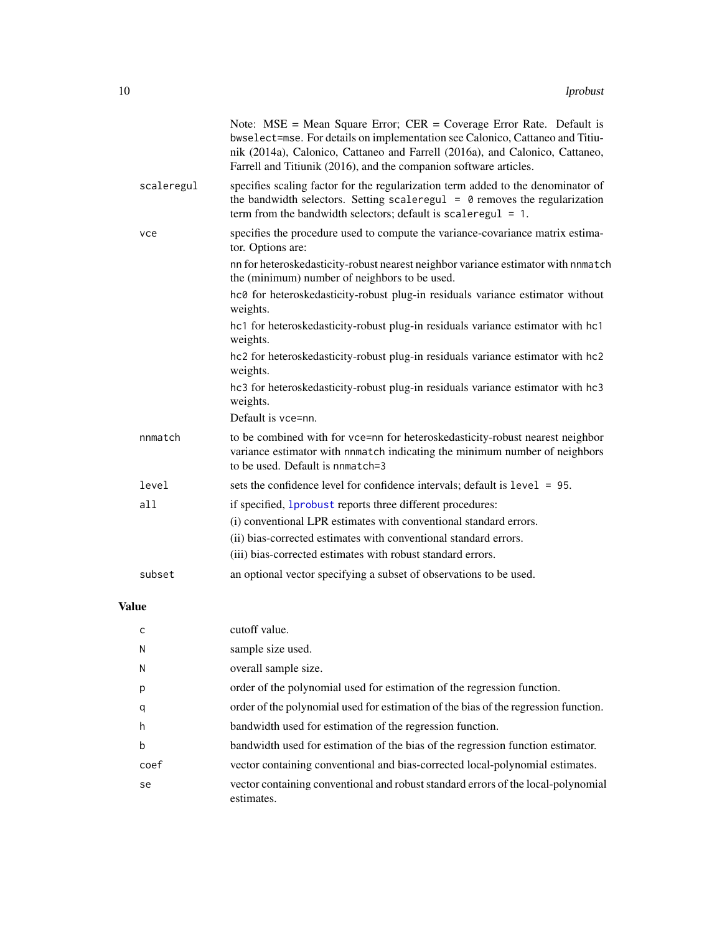<span id="page-9-0"></span>

|            | Note: $MSE = Mean Square Error$ ; $CER = Coverage Error Rate$ . Default is<br>bwselect=mse. For details on implementation see Calonico, Cattaneo and Titiu-<br>nik (2014a), Calonico, Cattaneo and Farrell (2016a), and Calonico, Cattaneo,<br>Farrell and Titiunik (2016), and the companion software articles. |  |
|------------|------------------------------------------------------------------------------------------------------------------------------------------------------------------------------------------------------------------------------------------------------------------------------------------------------------------|--|
| scaleregul | specifies scaling factor for the regularization term added to the denominator of<br>the bandwidth selectors. Setting scaleregul = $\theta$ removes the regularization<br>term from the bandwidth selectors; default is scaleregul = $1$ .                                                                        |  |
| vce        | specifies the procedure used to compute the variance-covariance matrix estima-<br>tor. Options are:                                                                                                                                                                                                              |  |
|            | nn for heteroskedasticity-robust nearest neighbor variance estimator with nnmatch<br>the (minimum) number of neighbors to be used.                                                                                                                                                                               |  |
|            | hc0 for heteroskedasticity-robust plug-in residuals variance estimator without<br>weights.                                                                                                                                                                                                                       |  |
|            | hc1 for heteroskedasticity-robust plug-in residuals variance estimator with hc1<br>weights.                                                                                                                                                                                                                      |  |
|            | hc2 for heteroskedasticity-robust plug-in residuals variance estimator with hc2<br>weights.                                                                                                                                                                                                                      |  |
|            | hc3 for heteroskedasticity-robust plug-in residuals variance estimator with hc3<br>weights.                                                                                                                                                                                                                      |  |
|            | Default is vce=nn.                                                                                                                                                                                                                                                                                               |  |
| nnmatch    | to be combined with for vce=nn for heteroskedasticity-robust nearest neighbor<br>variance estimator with nnmatch indicating the minimum number of neighbors<br>to be used. Default is nomatch=3                                                                                                                  |  |
| level      | sets the confidence level for confidence intervals; default is level = 95.                                                                                                                                                                                                                                       |  |
| all        | if specified, 1probust reports three different procedures:                                                                                                                                                                                                                                                       |  |
|            | (i) conventional LPR estimates with conventional standard errors.                                                                                                                                                                                                                                                |  |
|            | (ii) bias-corrected estimates with conventional standard errors.                                                                                                                                                                                                                                                 |  |
|            | (iii) bias-corrected estimates with robust standard errors.                                                                                                                                                                                                                                                      |  |
| subset     | an optional vector specifying a subset of observations to be used.                                                                                                                                                                                                                                               |  |
|            |                                                                                                                                                                                                                                                                                                                  |  |

#### Value

| C    | cutoff value.                                                                                   |
|------|-------------------------------------------------------------------------------------------------|
| N    | sample size used.                                                                               |
| N    | overall sample size.                                                                            |
| p    | order of the polynomial used for estimation of the regression function.                         |
| q    | order of the polynomial used for estimation of the bias of the regression function.             |
| h    | bandwidth used for estimation of the regression function.                                       |
| b    | bandwidth used for estimation of the bias of the regression function estimator.                 |
| coef | vector containing conventional and bias-corrected local-polynomial estimates.                   |
| se   | vector containing conventional and robust standard errors of the local-polynomial<br>estimates. |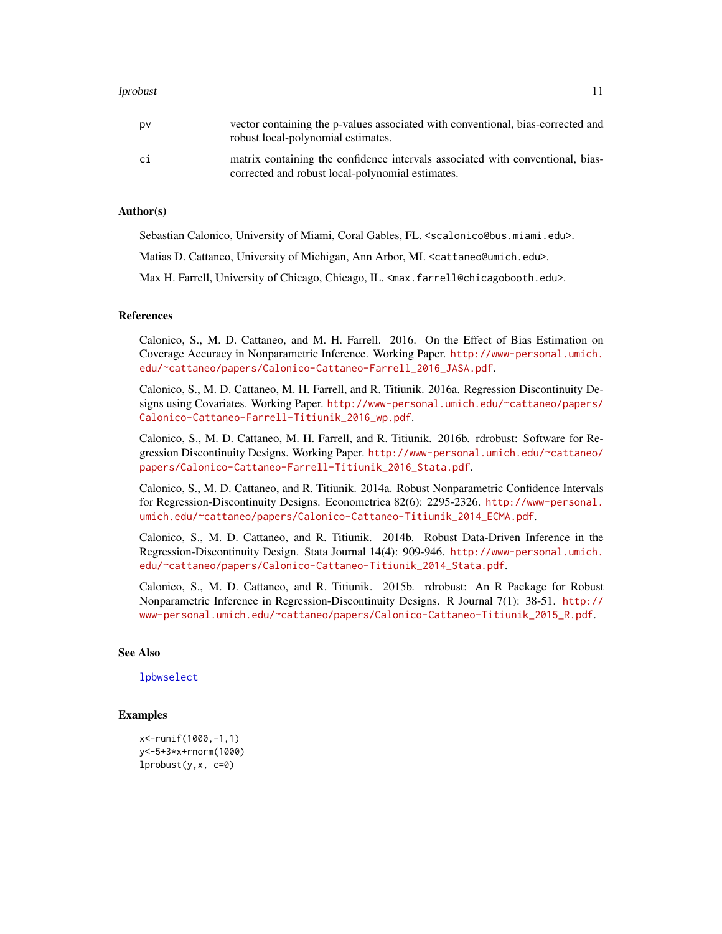#### <span id="page-10-0"></span>lprobust the contract of the contract of the contract of the contract of the contract of the contract of the contract of the contract of the contract of the contract of the contract of the contract of the contract of the c

#### Author(s)

Sebastian Calonico, University of Miami, Coral Gables, FL. <scalonico@bus.miami.edu>.

Matias D. Cattaneo, University of Michigan, Ann Arbor, MI. <cattaneo@umich.edu>.

Max H. Farrell, University of Chicago, Chicago, IL. <max.farrell@chicagobooth.edu>.

#### References

Calonico, S., M. D. Cattaneo, and M. H. Farrell. 2016. On the Effect of Bias Estimation on Coverage Accuracy in Nonparametric Inference. Working Paper. [http://www-personal.umich.](http://www-personal.umich.edu/~cattaneo/papers/Calonico-Cattaneo-Farrell_2016_JASA.pdf) [edu/~cattaneo/papers/Calonico-Cattaneo-Farrell\\_2016\\_JASA.pdf](http://www-personal.umich.edu/~cattaneo/papers/Calonico-Cattaneo-Farrell_2016_JASA.pdf).

Calonico, S., M. D. Cattaneo, M. H. Farrell, and R. Titiunik. 2016a. Regression Discontinuity Designs using Covariates. Working Paper. [http://www-personal.umich.edu/~cattaneo/papers/](http://www-personal.umich.edu/~cattaneo/papers/Calonico-Cattaneo-Farrell-Titiunik_2016_wp.pdf) [Calonico-Cattaneo-Farrell-Titiunik\\_2016\\_wp.pdf](http://www-personal.umich.edu/~cattaneo/papers/Calonico-Cattaneo-Farrell-Titiunik_2016_wp.pdf).

Calonico, S., M. D. Cattaneo, M. H. Farrell, and R. Titiunik. 2016b. rdrobust: Software for Regression Discontinuity Designs. Working Paper. [http://www-personal.umich.edu/~cattaneo/](http://www-personal.umich.edu/~cattaneo/papers/Calonico-Cattaneo-Farrell-Titiunik_2016_Stata.pdf) [papers/Calonico-Cattaneo-Farrell-Titiunik\\_2016\\_Stata.pdf](http://www-personal.umich.edu/~cattaneo/papers/Calonico-Cattaneo-Farrell-Titiunik_2016_Stata.pdf).

Calonico, S., M. D. Cattaneo, and R. Titiunik. 2014a. Robust Nonparametric Confidence Intervals for Regression-Discontinuity Designs. Econometrica 82(6): 2295-2326. [http://www-personal.](http://www-personal.umich.edu/~cattaneo/papers/Calonico-Cattaneo-Titiunik_2014_ECMA.pdf) [umich.edu/~cattaneo/papers/Calonico-Cattaneo-Titiunik\\_2014\\_ECMA.pdf](http://www-personal.umich.edu/~cattaneo/papers/Calonico-Cattaneo-Titiunik_2014_ECMA.pdf).

Calonico, S., M. D. Cattaneo, and R. Titiunik. 2014b. Robust Data-Driven Inference in the Regression-Discontinuity Design. Stata Journal 14(4): 909-946. [http://www-personal.umich.](http://www-personal.umich.edu/~cattaneo/papers/Calonico-Cattaneo-Titiunik_2014_Stata.pdf) [edu/~cattaneo/papers/Calonico-Cattaneo-Titiunik\\_2014\\_Stata.pdf](http://www-personal.umich.edu/~cattaneo/papers/Calonico-Cattaneo-Titiunik_2014_Stata.pdf).

Calonico, S., M. D. Cattaneo, and R. Titiunik. 2015b. rdrobust: An R Package for Robust Nonparametric Inference in Regression-Discontinuity Designs. R Journal 7(1): 38-51. [http://](http://www-personal.umich.edu/~cattaneo/papers/Calonico-Cattaneo-Titiunik_2015_R.pdf) [www-personal.umich.edu/~cattaneo/papers/Calonico-Cattaneo-Titiunik\\_2015\\_R.pdf](http://www-personal.umich.edu/~cattaneo/papers/Calonico-Cattaneo-Titiunik_2015_R.pdf).

#### See Also

[lpbwselect](#page-5-1)

#### Examples

```
x<-runif(1000,-1,1)
y<-5+3*x+rnorm(1000)
lprobust(y,x, c=0)
```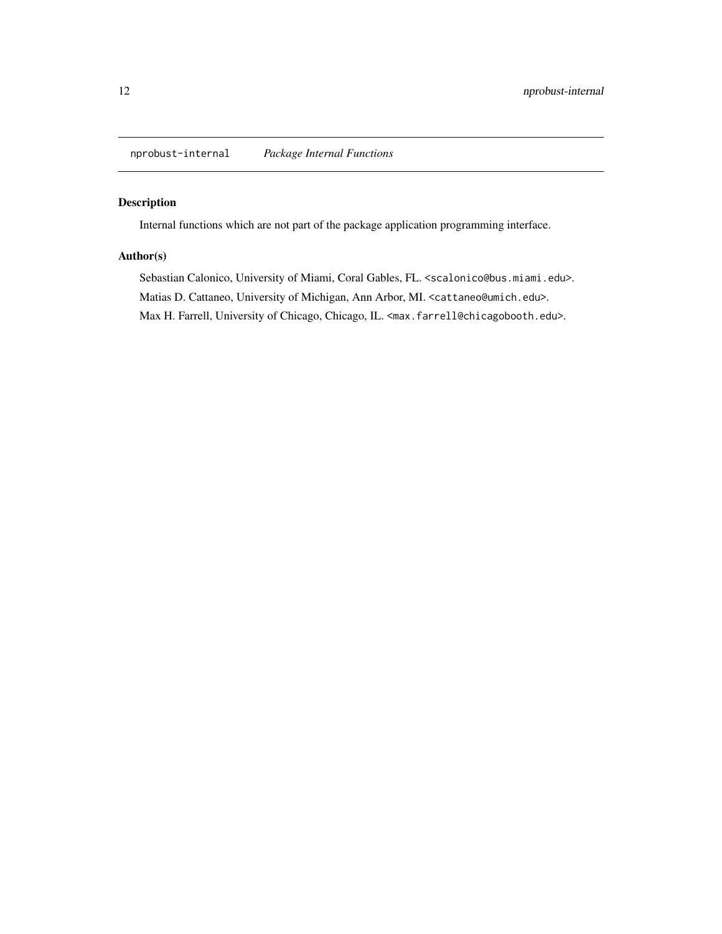<span id="page-11-0"></span>nprobust-internal *Package Internal Functions*

#### Description

Internal functions which are not part of the package application programming interface.

#### Author(s)

Sebastian Calonico, University of Miami, Coral Gables, FL. <scalonico@bus.miami.edu>. Matias D. Cattaneo, University of Michigan, Ann Arbor, MI. <cattaneo@umich.edu>. Max H. Farrell, University of Chicago, Chicago, IL. <max.farrell@chicagobooth.edu>.